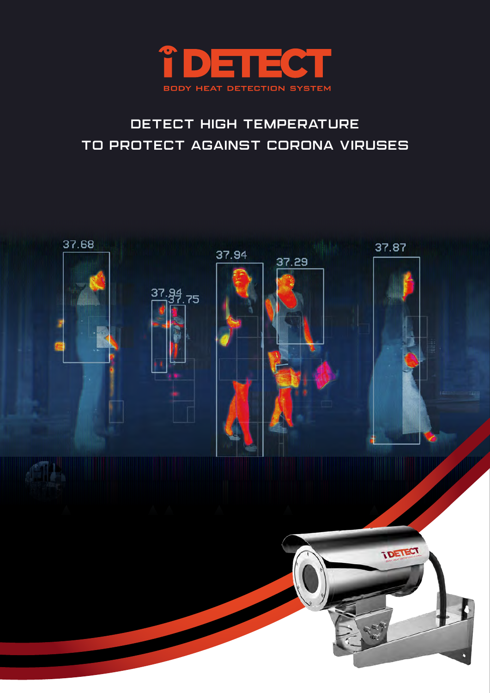

# detect high temperature to protect against corona viruses

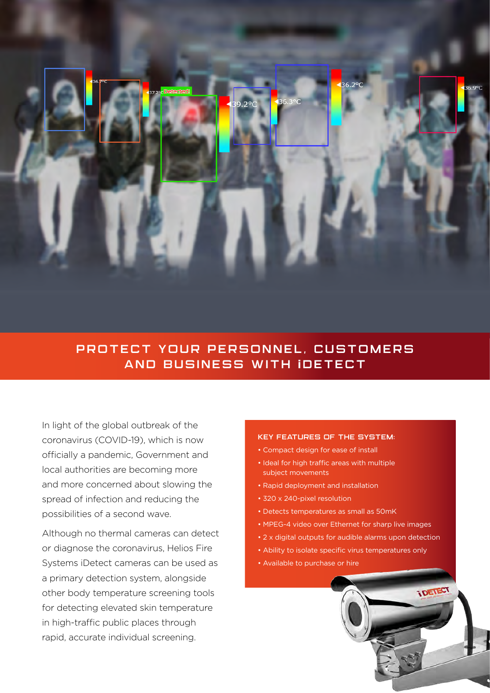

### PROTECT YOUR PERSONNEL, CUSTOMERS AND BUSINESS WITH **i**DETECT

In light of the global outbreak of the coronavirus (COVID-19), which is now officially a pandemic, Government and local authorities are becoming more and more concerned about slowing the spread of infection and reducing the possibilities of a second wave.

Although no thermal cameras can detect or diagnose the coronavirus, Helios Fire Systems iDetect cameras can be used as a primary detection system, alongside other body temperature screening tools for detecting elevated skin temperature in high-traffic public places through rapid, accurate individual screening.

#### Key features of the system:

- Compact design for ease of install
- Ideal for high traffic areas with multiple subject movements
- Rapid deployment and installation
- 320 x 240-pixel resolution
- Detects temperatures as small as 50mK
- MPEG-4 video over Ethernet for sharp live images
- 2 x digital outputs for audible alarms upon detection
- Ability to isolate specific virus temperatures only
- Available to purchase or hire

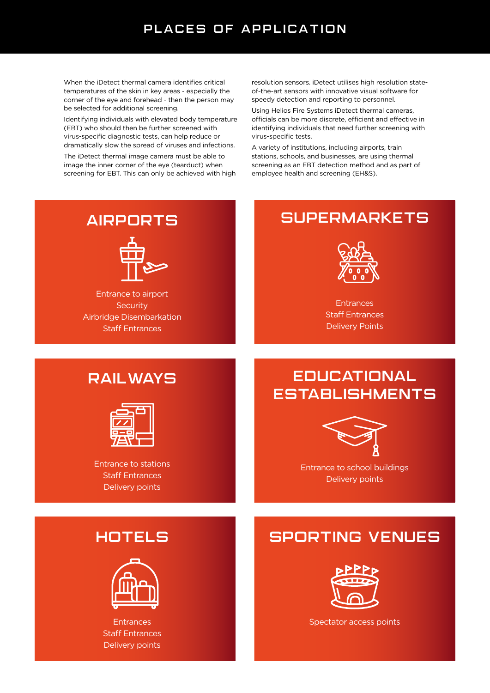### PLACES OF APPLICATION

When the iDetect thermal camera identifies critical temperatures of the skin in key areas - especially the corner of the eye and forehead - then the person may be selected for additional screening.

Identifying individuals with elevated body temperature (EBT) who should then be further screened with virus-specific diagnostic tests, can help reduce or dramatically slow the spread of viruses and infections.

The iDetect thermal image camera must be able to image the inner corner of the eye (tearduct) when screening for EBT. This can only be achieved with high resolution sensors. iDetect utilises high resolution stateof-the-art sensors with innovative visual software for speedy detection and reporting to personnel.

Using Helios Fire Systems iDetect thermal cameras, officials can be more discrete, efficient and effective in identifying individuals that need further screening with virus-specific tests.

A variety of institutions, including airports, train stations, schools, and businesses, are using thermal screening as an EBT detection method and as part of employee health and screening (EH&S).

### AIRPORTS



Entrance to airport **Security** Airbridge Disembarkation Staff Entrances

## **SUPERMARKETS**



**Entrances** Staff Entrances Delivery Points

### Railways



Entrance to stations Staff Entrances Delivery points

## **EDUCATIONAL ESTABLISHMENTS**



Entrance to school buildings Delivery points

## **HOTELS**



**Entrances** Staff Entrances Delivery points

## Sporting Venues



Spectator access points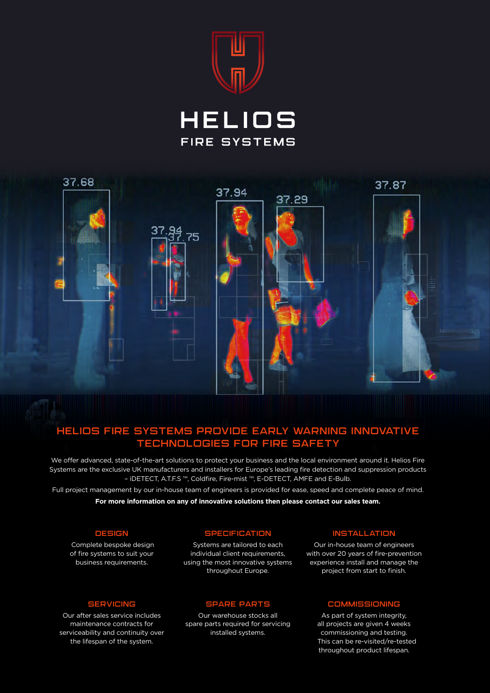





### Helios Fire Systems provide early warning innovative technologies for fire safety

We offer advanced, state-of-the-art solutions to protect your business and the local environment around it. Helios Fire Systems are the exclusive UK manufacturers and installers for Europe's leading fire detection and suppression products – iDETECT, A.T.F.S ™, Coldfire, Fire-mist ™, E-DETECT, AMFE and E-Bulb.

Full project management by our in-house team of engineers is provided for ease, speed and complete peace of mind. **For more information on any of innovative solutions then please contact our sales team.**

#### **DESIGN**

 Complete bespoke design of fire systems to suit your business requirements.

#### **SPECIFICATION**

Systems are tailored to each individual client requirements, using the most innovative systems throughout Europe.

#### **SERVICING**

Our after sales service includes maintenance contracts for serviceability and continuity over the lifespan of the system.

#### Spare parts

Our warehouse stocks all spare parts required for servicing installed systems.

#### **INSTALLATION**

Our in-house team of engineers with over 20 years of fire-prevention experience install and manage the project from start to finish.

### **COMMISSIONING**

As part of system integrity, all projects are given 4 weeks commissioning and testing. This can be re-visited/re-tested throughout product lifespan.